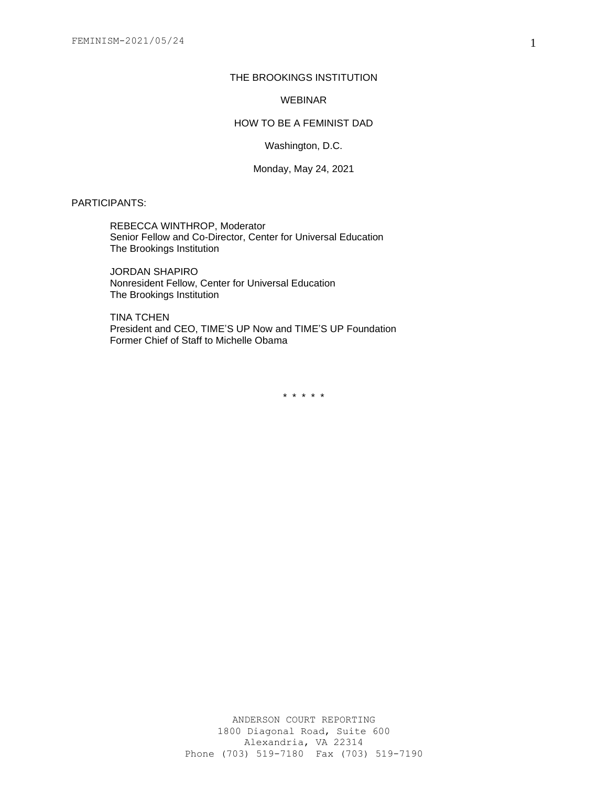# THE BROOKINGS INSTITUTION

### WEBINAR

### HOW TO BE A FEMINIST DAD

Washington, D.C.

### Monday, May 24, 2021

PARTICIPANTS:

REBECCA WINTHROP, Moderator Senior Fellow and Co-Director, Center for Universal Education The Brookings Institution

JORDAN SHAPIRO Nonresident Fellow, Center for Universal Education The Brookings Institution

TINA TCHEN President and CEO, TIME'S UP Now and TIME'S UP Foundation Former Chief of Staff to Michelle Obama

\* \* \* \* \*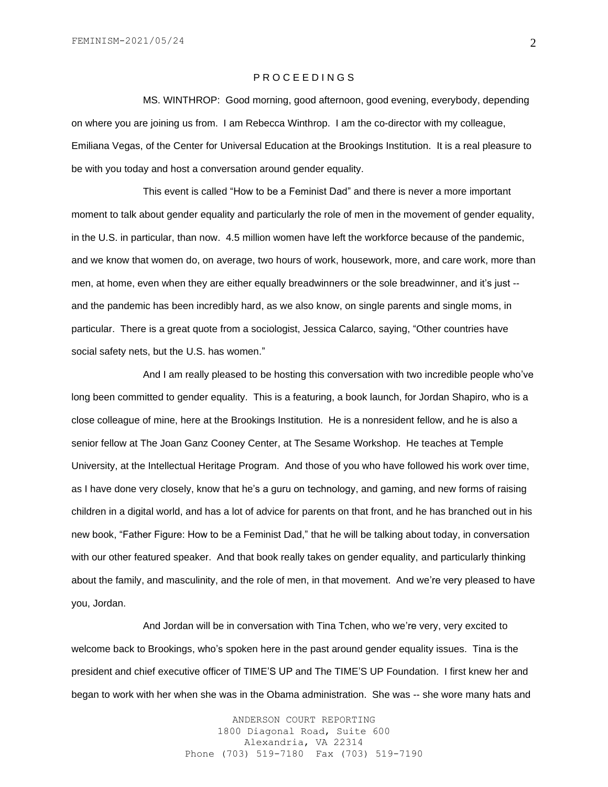# P R O C E E D I N G S

MS. WINTHROP: Good morning, good afternoon, good evening, everybody, depending on where you are joining us from. I am Rebecca Winthrop. I am the co-director with my colleague, Emiliana Vegas, of the Center for Universal Education at the Brookings Institution. It is a real pleasure to be with you today and host a conversation around gender equality.

This event is called "How to be a Feminist Dad" and there is never a more important moment to talk about gender equality and particularly the role of men in the movement of gender equality, in the U.S. in particular, than now. 4.5 million women have left the workforce because of the pandemic, and we know that women do, on average, two hours of work, housework, more, and care work, more than men, at home, even when they are either equally breadwinners or the sole breadwinner, and it's just - and the pandemic has been incredibly hard, as we also know, on single parents and single moms, in particular. There is a great quote from a sociologist, Jessica Calarco, saying, "Other countries have social safety nets, but the U.S. has women."

And I am really pleased to be hosting this conversation with two incredible people who've long been committed to gender equality. This is a featuring, a book launch, for Jordan Shapiro, who is a close colleague of mine, here at the Brookings Institution. He is a nonresident fellow, and he is also a senior fellow at The Joan Ganz Cooney Center, at The Sesame Workshop. He teaches at Temple University, at the Intellectual Heritage Program. And those of you who have followed his work over time, as I have done very closely, know that he's a guru on technology, and gaming, and new forms of raising children in a digital world, and has a lot of advice for parents on that front, and he has branched out in his new book, "Father Figure: How to be a Feminist Dad," that he will be talking about today, in conversation with our other featured speaker. And that book really takes on gender equality, and particularly thinking about the family, and masculinity, and the role of men, in that movement. And we're very pleased to have you, Jordan.

And Jordan will be in conversation with Tina Tchen, who we're very, very excited to welcome back to Brookings, who's spoken here in the past around gender equality issues. Tina is the president and chief executive officer of TIME'S UP and The TIME'S UP Foundation. I first knew her and began to work with her when she was in the Obama administration. She was -- she wore many hats and

> ANDERSON COURT REPORTING 1800 Diagonal Road, Suite 600 Alexandria, VA 22314 Phone (703) 519-7180 Fax (703) 519-7190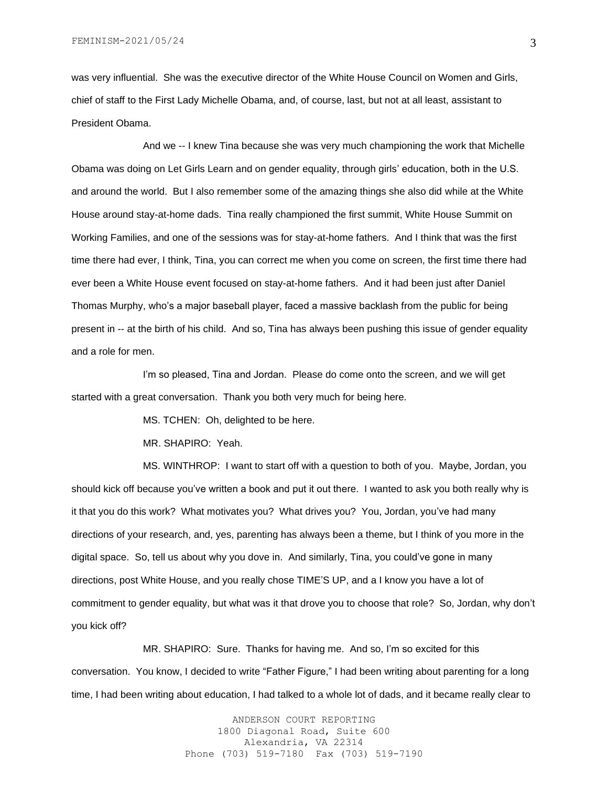was very influential. She was the executive director of the White House Council on Women and Girls, chief of staff to the First Lady Michelle Obama, and, of course, last, but not at all least, assistant to President Obama.

And we -- I knew Tina because she was very much championing the work that Michelle Obama was doing on Let Girls Learn and on gender equality, through girls' education, both in the U.S. and around the world. But I also remember some of the amazing things she also did while at the White House around stay-at-home dads. Tina really championed the first summit, White House Summit on Working Families, and one of the sessions was for stay-at-home fathers. And I think that was the first time there had ever, I think, Tina, you can correct me when you come on screen, the first time there had ever been a White House event focused on stay-at-home fathers. And it had been just after Daniel Thomas Murphy, who's a major baseball player, faced a massive backlash from the public for being present in -- at the birth of his child. And so, Tina has always been pushing this issue of gender equality and a role for men.

I'm so pleased, Tina and Jordan. Please do come onto the screen, and we will get started with a great conversation. Thank you both very much for being here.

MS. TCHEN: Oh, delighted to be here.

MR. SHAPIRO: Yeah.

MS. WINTHROP: I want to start off with a question to both of you. Maybe, Jordan, you should kick off because you've written a book and put it out there. I wanted to ask you both really why is it that you do this work? What motivates you? What drives you? You, Jordan, you've had many directions of your research, and, yes, parenting has always been a theme, but I think of you more in the digital space. So, tell us about why you dove in. And similarly, Tina, you could've gone in many directions, post White House, and you really chose TIME'S UP, and a I know you have a lot of commitment to gender equality, but what was it that drove you to choose that role? So, Jordan, why don't you kick off?

MR. SHAPIRO: Sure. Thanks for having me. And so, I'm so excited for this conversation. You know, I decided to write "Father Figure," I had been writing about parenting for a long time, I had been writing about education, I had talked to a whole lot of dads, and it became really clear to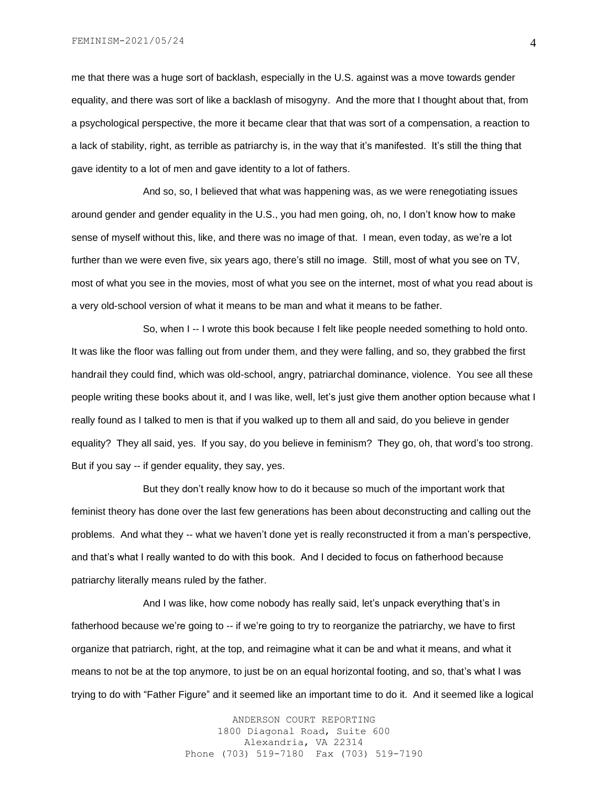FEMINISM-2021/05/24

me that there was a huge sort of backlash, especially in the U.S. against was a move towards gender equality, and there was sort of like a backlash of misogyny. And the more that I thought about that, from a psychological perspective, the more it became clear that that was sort of a compensation, a reaction to a lack of stability, right, as terrible as patriarchy is, in the way that it's manifested. It's still the thing that gave identity to a lot of men and gave identity to a lot of fathers.

And so, so, I believed that what was happening was, as we were renegotiating issues around gender and gender equality in the U.S., you had men going, oh, no, I don't know how to make sense of myself without this, like, and there was no image of that. I mean, even today, as we're a lot further than we were even five, six years ago, there's still no image. Still, most of what you see on TV, most of what you see in the movies, most of what you see on the internet, most of what you read about is a very old-school version of what it means to be man and what it means to be father.

So, when I -- I wrote this book because I felt like people needed something to hold onto. It was like the floor was falling out from under them, and they were falling, and so, they grabbed the first handrail they could find, which was old-school, angry, patriarchal dominance, violence. You see all these people writing these books about it, and I was like, well, let's just give them another option because what I really found as I talked to men is that if you walked up to them all and said, do you believe in gender equality? They all said, yes. If you say, do you believe in feminism? They go, oh, that word's too strong. But if you say -- if gender equality, they say, yes.

But they don't really know how to do it because so much of the important work that feminist theory has done over the last few generations has been about deconstructing and calling out the problems. And what they -- what we haven't done yet is really reconstructed it from a man's perspective, and that's what I really wanted to do with this book. And I decided to focus on fatherhood because patriarchy literally means ruled by the father.

And I was like, how come nobody has really said, let's unpack everything that's in fatherhood because we're going to -- if we're going to try to reorganize the patriarchy, we have to first organize that patriarch, right, at the top, and reimagine what it can be and what it means, and what it means to not be at the top anymore, to just be on an equal horizontal footing, and so, that's what I was trying to do with "Father Figure" and it seemed like an important time to do it. And it seemed like a logical

> ANDERSON COURT REPORTING 1800 Diagonal Road, Suite 600 Alexandria, VA 22314 Phone (703) 519-7180 Fax (703) 519-7190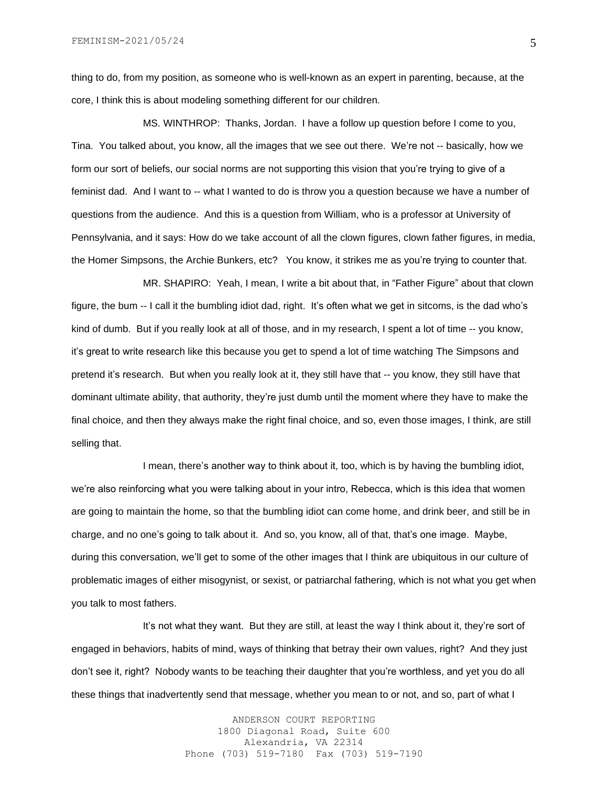thing to do, from my position, as someone who is well-known as an expert in parenting, because, at the core, I think this is about modeling something different for our children.

MS. WINTHROP: Thanks, Jordan. I have a follow up question before I come to you, Tina. You talked about, you know, all the images that we see out there. We're not -- basically, how we form our sort of beliefs, our social norms are not supporting this vision that you're trying to give of a feminist dad. And I want to -- what I wanted to do is throw you a question because we have a number of questions from the audience. And this is a question from William, who is a professor at University of Pennsylvania, and it says: How do we take account of all the clown figures, clown father figures, in media, the Homer Simpsons, the Archie Bunkers, etc? You know, it strikes me as you're trying to counter that.

MR. SHAPIRO: Yeah, I mean, I write a bit about that, in "Father Figure" about that clown figure, the bum -- I call it the bumbling idiot dad, right. It's often what we get in sitcoms, is the dad who's kind of dumb. But if you really look at all of those, and in my research, I spent a lot of time -- you know, it's great to write research like this because you get to spend a lot of time watching The Simpsons and pretend it's research. But when you really look at it, they still have that -- you know, they still have that dominant ultimate ability, that authority, they're just dumb until the moment where they have to make the final choice, and then they always make the right final choice, and so, even those images, I think, are still selling that.

I mean, there's another way to think about it, too, which is by having the bumbling idiot, we're also reinforcing what you were talking about in your intro, Rebecca, which is this idea that women are going to maintain the home, so that the bumbling idiot can come home, and drink beer, and still be in charge, and no one's going to talk about it. And so, you know, all of that, that's one image. Maybe, during this conversation, we'll get to some of the other images that I think are ubiquitous in our culture of problematic images of either misogynist, or sexist, or patriarchal fathering, which is not what you get when you talk to most fathers.

It's not what they want. But they are still, at least the way I think about it, they're sort of engaged in behaviors, habits of mind, ways of thinking that betray their own values, right? And they just don't see it, right? Nobody wants to be teaching their daughter that you're worthless, and yet you do all these things that inadvertently send that message, whether you mean to or not, and so, part of what I

> ANDERSON COURT REPORTING 1800 Diagonal Road, Suite 600 Alexandria, VA 22314 Phone (703) 519-7180 Fax (703) 519-7190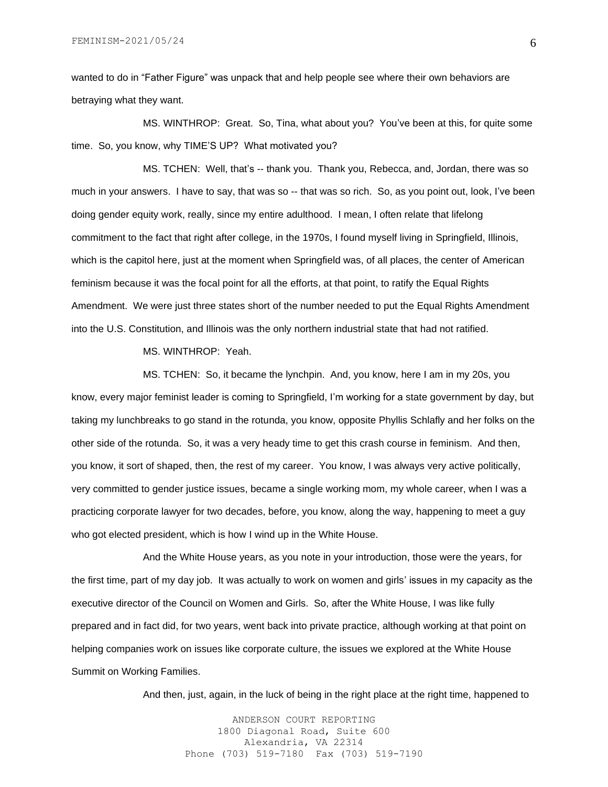wanted to do in "Father Figure" was unpack that and help people see where their own behaviors are betraying what they want.

MS. WINTHROP: Great. So, Tina, what about you? You've been at this, for quite some time. So, you know, why TIME'S UP? What motivated you?

MS. TCHEN: Well, that's -- thank you. Thank you, Rebecca, and, Jordan, there was so much in your answers. I have to say, that was so -- that was so rich. So, as you point out, look, I've been doing gender equity work, really, since my entire adulthood. I mean, I often relate that lifelong commitment to the fact that right after college, in the 1970s, I found myself living in Springfield, Illinois, which is the capitol here, just at the moment when Springfield was, of all places, the center of American feminism because it was the focal point for all the efforts, at that point, to ratify the Equal Rights Amendment. We were just three states short of the number needed to put the Equal Rights Amendment into the U.S. Constitution, and Illinois was the only northern industrial state that had not ratified.

MS. WINTHROP: Yeah.

MS. TCHEN: So, it became the lynchpin. And, you know, here I am in my 20s, you know, every major feminist leader is coming to Springfield, I'm working for a state government by day, but taking my lunchbreaks to go stand in the rotunda, you know, opposite Phyllis Schlafly and her folks on the other side of the rotunda. So, it was a very heady time to get this crash course in feminism. And then, you know, it sort of shaped, then, the rest of my career. You know, I was always very active politically, very committed to gender justice issues, became a single working mom, my whole career, when I was a practicing corporate lawyer for two decades, before, you know, along the way, happening to meet a guy who got elected president, which is how I wind up in the White House.

And the White House years, as you note in your introduction, those were the years, for the first time, part of my day job. It was actually to work on women and girls' issues in my capacity as the executive director of the Council on Women and Girls. So, after the White House, I was like fully prepared and in fact did, for two years, went back into private practice, although working at that point on helping companies work on issues like corporate culture, the issues we explored at the White House Summit on Working Families.

And then, just, again, in the luck of being in the right place at the right time, happened to

ANDERSON COURT REPORTING 1800 Diagonal Road, Suite 600 Alexandria, VA 22314 Phone (703) 519-7180 Fax (703) 519-7190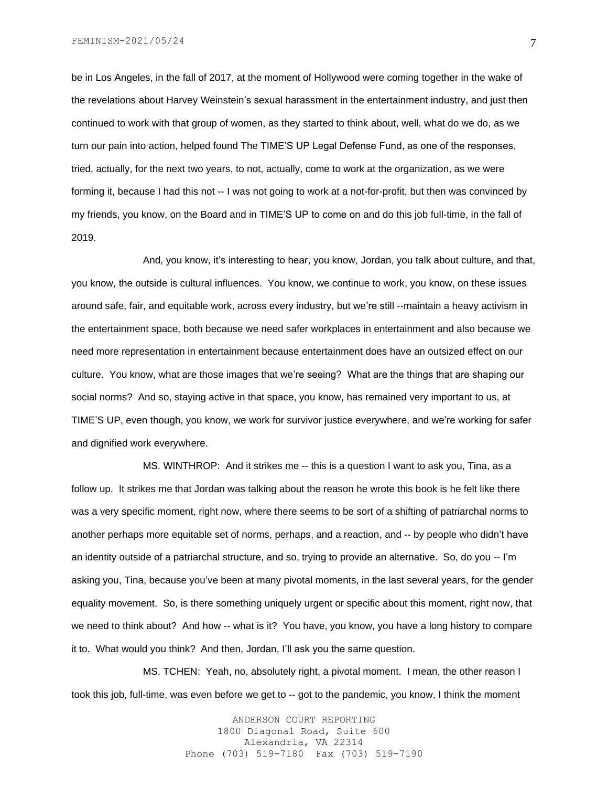FEMINISM-2021/05/24

be in Los Angeles, in the fall of 2017, at the moment of Hollywood were coming together in the wake of the revelations about Harvey Weinstein's sexual harassment in the entertainment industry, and just then continued to work with that group of women, as they started to think about, well, what do we do, as we turn our pain into action, helped found The TIME'S UP Legal Defense Fund, as one of the responses, tried, actually, for the next two years, to not, actually, come to work at the organization, as we were forming it, because I had this not -- I was not going to work at a not-for-profit, but then was convinced by my friends, you know, on the Board and in TIME'S UP to come on and do this job full-time, in the fall of 2019.

And, you know, it's interesting to hear, you know, Jordan, you talk about culture, and that, you know, the outside is cultural influences. You know, we continue to work, you know, on these issues around safe, fair, and equitable work, across every industry, but we're still --maintain a heavy activism in the entertainment space, both because we need safer workplaces in entertainment and also because we need more representation in entertainment because entertainment does have an outsized effect on our culture. You know, what are those images that we're seeing? What are the things that are shaping our social norms? And so, staying active in that space, you know, has remained very important to us, at TIME'S UP, even though, you know, we work for survivor justice everywhere, and we're working for safer and dignified work everywhere.

MS. WINTHROP: And it strikes me -- this is a question I want to ask you, Tina, as a follow up. It strikes me that Jordan was talking about the reason he wrote this book is he felt like there was a very specific moment, right now, where there seems to be sort of a shifting of patriarchal norms to another perhaps more equitable set of norms, perhaps, and a reaction, and -- by people who didn't have an identity outside of a patriarchal structure, and so, trying to provide an alternative. So, do you -- I'm asking you, Tina, because you've been at many pivotal moments, in the last several years, for the gender equality movement. So, is there something uniquely urgent or specific about this moment, right now, that we need to think about? And how -- what is it? You have, you know, you have a long history to compare it to. What would you think? And then, Jordan, I'll ask you the same question.

MS. TCHEN: Yeah, no, absolutely right, a pivotal moment. I mean, the other reason I took this job, full-time, was even before we get to -- got to the pandemic, you know, I think the moment

> ANDERSON COURT REPORTING 1800 Diagonal Road, Suite 600 Alexandria, VA 22314 Phone (703) 519-7180 Fax (703) 519-7190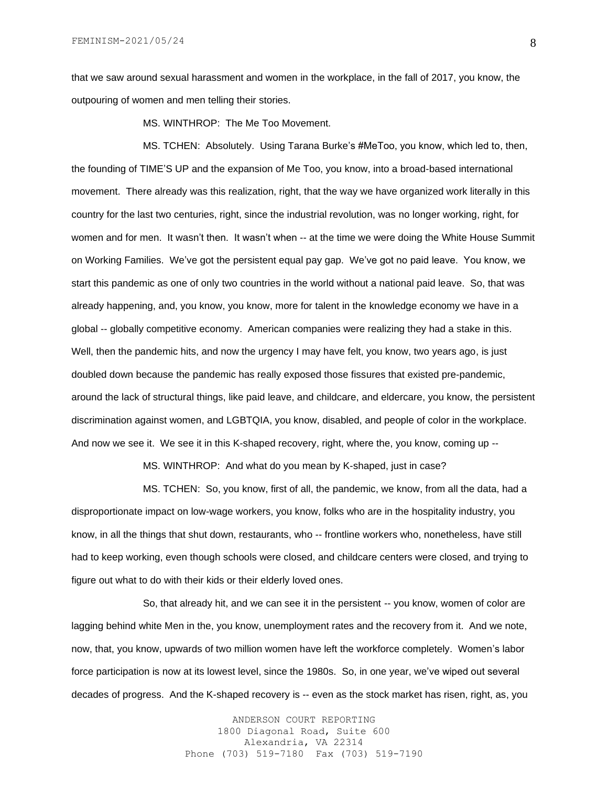that we saw around sexual harassment and women in the workplace, in the fall of 2017, you know, the outpouring of women and men telling their stories.

MS. WINTHROP: The Me Too Movement.

MS. TCHEN: Absolutely. Using Tarana Burke's #MeToo, you know, which led to, then, the founding of TIME'S UP and the expansion of Me Too, you know, into a broad-based international movement. There already was this realization, right, that the way we have organized work literally in this country for the last two centuries, right, since the industrial revolution, was no longer working, right, for women and for men. It wasn't then. It wasn't when -- at the time we were doing the White House Summit on Working Families. We've got the persistent equal pay gap. We've got no paid leave. You know, we start this pandemic as one of only two countries in the world without a national paid leave. So, that was already happening, and, you know, you know, more for talent in the knowledge economy we have in a global -- globally competitive economy. American companies were realizing they had a stake in this. Well, then the pandemic hits, and now the urgency I may have felt, you know, two years ago, is just doubled down because the pandemic has really exposed those fissures that existed pre-pandemic, around the lack of structural things, like paid leave, and childcare, and eldercare, you know, the persistent discrimination against women, and LGBTQIA, you know, disabled, and people of color in the workplace. And now we see it. We see it in this K-shaped recovery, right, where the, you know, coming up --

MS. WINTHROP: And what do you mean by K-shaped, just in case?

MS. TCHEN: So, you know, first of all, the pandemic, we know, from all the data, had a disproportionate impact on low-wage workers, you know, folks who are in the hospitality industry, you know, in all the things that shut down, restaurants, who -- frontline workers who, nonetheless, have still had to keep working, even though schools were closed, and childcare centers were closed, and trying to figure out what to do with their kids or their elderly loved ones.

So, that already hit, and we can see it in the persistent -- you know, women of color are lagging behind white Men in the, you know, unemployment rates and the recovery from it. And we note, now, that, you know, upwards of two million women have left the workforce completely. Women's labor force participation is now at its lowest level, since the 1980s. So, in one year, we've wiped out several decades of progress. And the K-shaped recovery is -- even as the stock market has risen, right, as, you

> ANDERSON COURT REPORTING 1800 Diagonal Road, Suite 600 Alexandria, VA 22314 Phone (703) 519-7180 Fax (703) 519-7190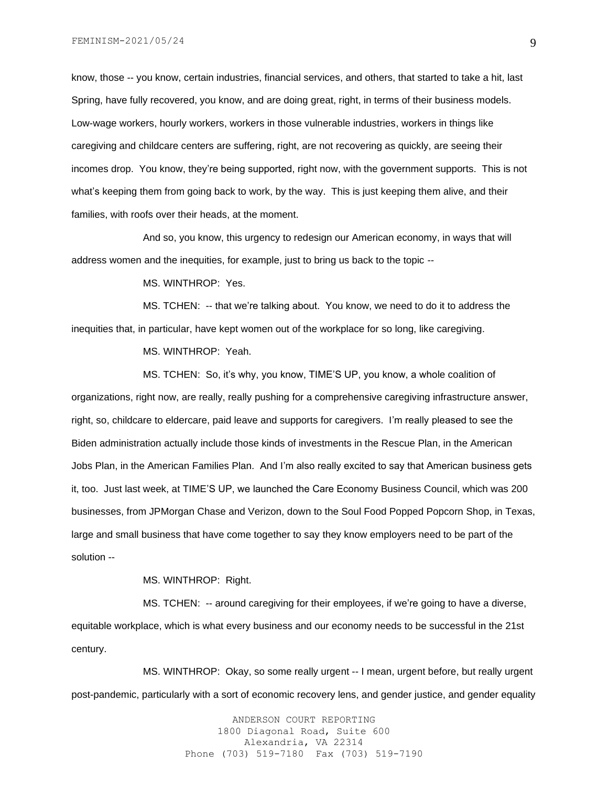know, those -- you know, certain industries, financial services, and others, that started to take a hit, last Spring, have fully recovered, you know, and are doing great, right, in terms of their business models. Low-wage workers, hourly workers, workers in those vulnerable industries, workers in things like caregiving and childcare centers are suffering, right, are not recovering as quickly, are seeing their incomes drop. You know, they're being supported, right now, with the government supports. This is not what's keeping them from going back to work, by the way. This is just keeping them alive, and their families, with roofs over their heads, at the moment.

And so, you know, this urgency to redesign our American economy, in ways that will address women and the inequities, for example, just to bring us back to the topic --

MS. WINTHROP: Yes.

MS. TCHEN: -- that we're talking about. You know, we need to do it to address the inequities that, in particular, have kept women out of the workplace for so long, like caregiving.

MS. WINTHROP: Yeah.

MS. TCHEN: So, it's why, you know, TIME'S UP, you know, a whole coalition of organizations, right now, are really, really pushing for a comprehensive caregiving infrastructure answer, right, so, childcare to eldercare, paid leave and supports for caregivers. I'm really pleased to see the Biden administration actually include those kinds of investments in the Rescue Plan, in the American Jobs Plan, in the American Families Plan. And I'm also really excited to say that American business gets it, too. Just last week, at TIME'S UP, we launched the Care Economy Business Council, which was 200 businesses, from JPMorgan Chase and Verizon, down to the Soul Food Popped Popcorn Shop, in Texas, large and small business that have come together to say they know employers need to be part of the solution --

MS. WINTHROP: Right.

MS. TCHEN: -- around caregiving for their employees, if we're going to have a diverse, equitable workplace, which is what every business and our economy needs to be successful in the 21st century.

MS. WINTHROP: Okay, so some really urgent -- I mean, urgent before, but really urgent post-pandemic, particularly with a sort of economic recovery lens, and gender justice, and gender equality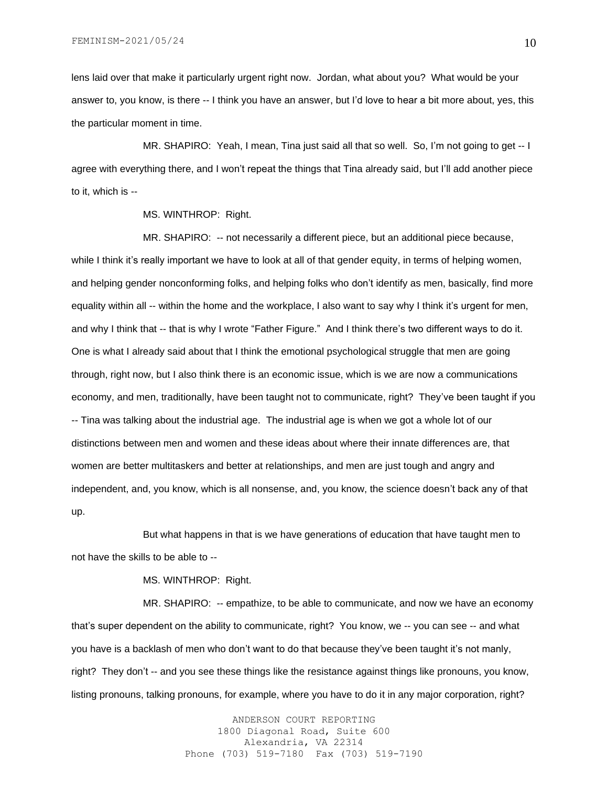lens laid over that make it particularly urgent right now. Jordan, what about you? What would be your answer to, you know, is there -- I think you have an answer, but I'd love to hear a bit more about, yes, this the particular moment in time.

MR. SHAPIRO: Yeah, I mean, Tina just said all that so well. So, I'm not going to get -- I agree with everything there, and I won't repeat the things that Tina already said, but I'll add another piece to it, which is --

MS. WINTHROP: Right.

MR. SHAPIRO: -- not necessarily a different piece, but an additional piece because, while I think it's really important we have to look at all of that gender equity, in terms of helping women, and helping gender nonconforming folks, and helping folks who don't identify as men, basically, find more equality within all -- within the home and the workplace, I also want to say why I think it's urgent for men, and why I think that -- that is why I wrote "Father Figure." And I think there's two different ways to do it. One is what I already said about that I think the emotional psychological struggle that men are going through, right now, but I also think there is an economic issue, which is we are now a communications economy, and men, traditionally, have been taught not to communicate, right? They've been taught if you -- Tina was talking about the industrial age. The industrial age is when we got a whole lot of our distinctions between men and women and these ideas about where their innate differences are, that women are better multitaskers and better at relationships, and men are just tough and angry and independent, and, you know, which is all nonsense, and, you know, the science doesn't back any of that up.

But what happens in that is we have generations of education that have taught men to not have the skills to be able to --

MS. WINTHROP: Right.

MR. SHAPIRO: -- empathize, to be able to communicate, and now we have an economy that's super dependent on the ability to communicate, right? You know, we -- you can see -- and what you have is a backlash of men who don't want to do that because they've been taught it's not manly, right? They don't -- and you see these things like the resistance against things like pronouns, you know, listing pronouns, talking pronouns, for example, where you have to do it in any major corporation, right?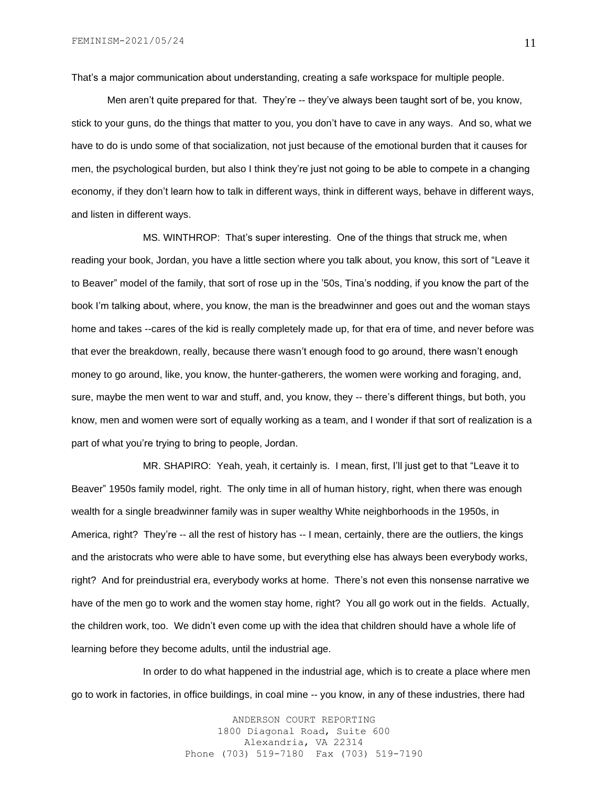That's a major communication about understanding, creating a safe workspace for multiple people.

Men aren't quite prepared for that. They're -- they've always been taught sort of be, you know, stick to your guns, do the things that matter to you, you don't have to cave in any ways. And so, what we have to do is undo some of that socialization, not just because of the emotional burden that it causes for men, the psychological burden, but also I think they're just not going to be able to compete in a changing economy, if they don't learn how to talk in different ways, think in different ways, behave in different ways, and listen in different ways.

MS. WINTHROP: That's super interesting. One of the things that struck me, when reading your book, Jordan, you have a little section where you talk about, you know, this sort of "Leave it to Beaver" model of the family, that sort of rose up in the '50s, Tina's nodding, if you know the part of the book I'm talking about, where, you know, the man is the breadwinner and goes out and the woman stays home and takes --cares of the kid is really completely made up, for that era of time, and never before was that ever the breakdown, really, because there wasn't enough food to go around, there wasn't enough money to go around, like, you know, the hunter-gatherers, the women were working and foraging, and, sure, maybe the men went to war and stuff, and, you know, they -- there's different things, but both, you know, men and women were sort of equally working as a team, and I wonder if that sort of realization is a part of what you're trying to bring to people, Jordan.

MR. SHAPIRO: Yeah, yeah, it certainly is. I mean, first, I'll just get to that "Leave it to Beaver" 1950s family model, right. The only time in all of human history, right, when there was enough wealth for a single breadwinner family was in super wealthy White neighborhoods in the 1950s, in America, right? They're -- all the rest of history has -- I mean, certainly, there are the outliers, the kings and the aristocrats who were able to have some, but everything else has always been everybody works, right? And for preindustrial era, everybody works at home. There's not even this nonsense narrative we have of the men go to work and the women stay home, right? You all go work out in the fields. Actually, the children work, too. We didn't even come up with the idea that children should have a whole life of learning before they become adults, until the industrial age.

In order to do what happened in the industrial age, which is to create a place where men go to work in factories, in office buildings, in coal mine -- you know, in any of these industries, there had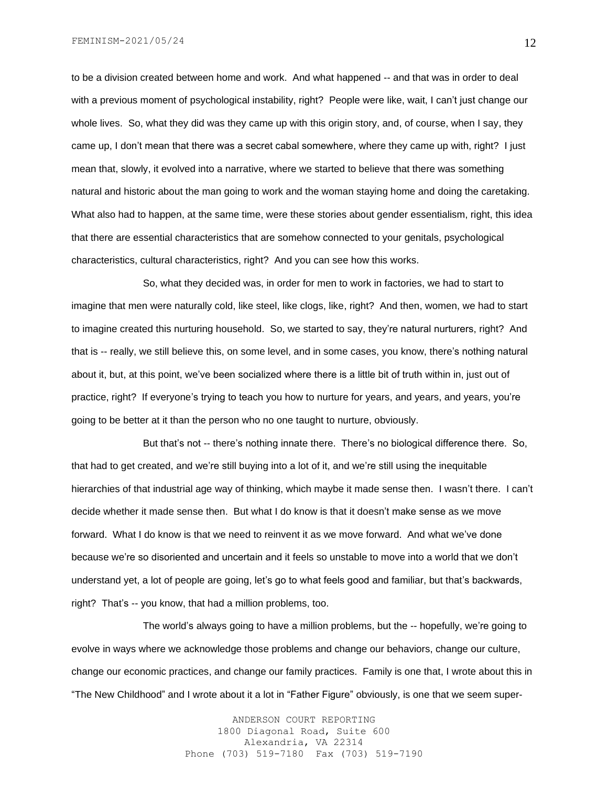to be a division created between home and work. And what happened -- and that was in order to deal with a previous moment of psychological instability, right? People were like, wait, I can't just change our whole lives. So, what they did was they came up with this origin story, and, of course, when I say, they came up, I don't mean that there was a secret cabal somewhere, where they came up with, right? I just mean that, slowly, it evolved into a narrative, where we started to believe that there was something natural and historic about the man going to work and the woman staying home and doing the caretaking. What also had to happen, at the same time, were these stories about gender essentialism, right, this idea that there are essential characteristics that are somehow connected to your genitals, psychological characteristics, cultural characteristics, right? And you can see how this works.

So, what they decided was, in order for men to work in factories, we had to start to imagine that men were naturally cold, like steel, like clogs, like, right? And then, women, we had to start to imagine created this nurturing household. So, we started to say, they're natural nurturers, right? And that is -- really, we still believe this, on some level, and in some cases, you know, there's nothing natural about it, but, at this point, we've been socialized where there is a little bit of truth within in, just out of practice, right? If everyone's trying to teach you how to nurture for years, and years, and years, you're going to be better at it than the person who no one taught to nurture, obviously.

But that's not -- there's nothing innate there. There's no biological difference there. So, that had to get created, and we're still buying into a lot of it, and we're still using the inequitable hierarchies of that industrial age way of thinking, which maybe it made sense then. I wasn't there. I can't decide whether it made sense then. But what I do know is that it doesn't make sense as we move forward. What I do know is that we need to reinvent it as we move forward. And what we've done because we're so disoriented and uncertain and it feels so unstable to move into a world that we don't understand yet, a lot of people are going, let's go to what feels good and familiar, but that's backwards, right? That's -- you know, that had a million problems, too.

The world's always going to have a million problems, but the -- hopefully, we're going to evolve in ways where we acknowledge those problems and change our behaviors, change our culture, change our economic practices, and change our family practices. Family is one that, I wrote about this in "The New Childhood" and I wrote about it a lot in "Father Figure" obviously, is one that we seem super-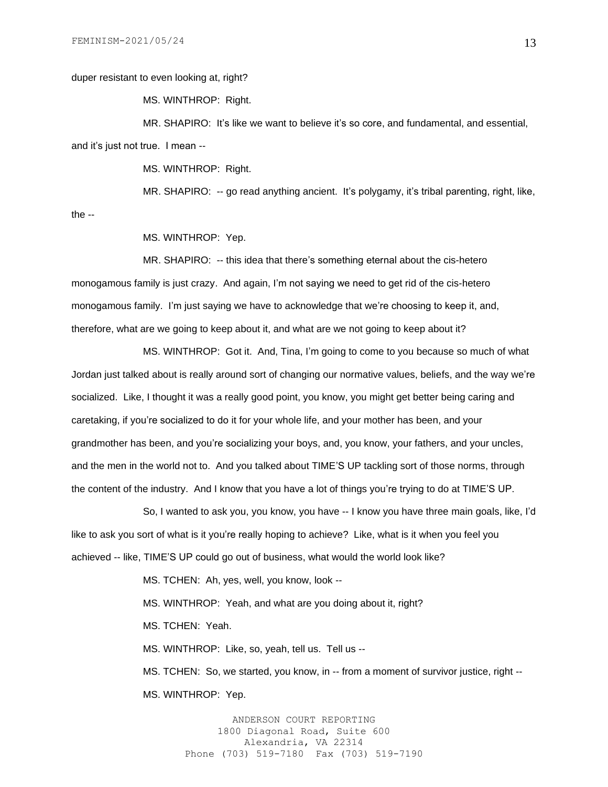duper resistant to even looking at, right?

MS. WINTHROP: Right.

MR. SHAPIRO: It's like we want to believe it's so core, and fundamental, and essential, and it's just not true. I mean --

MS. WINTHROP: Right.

MR. SHAPIRO: -- go read anything ancient. It's polygamy, it's tribal parenting, right, like,

the --

MS. WINTHROP: Yep.

MR. SHAPIRO: -- this idea that there's something eternal about the cis-hetero monogamous family is just crazy. And again, I'm not saying we need to get rid of the cis-hetero monogamous family. I'm just saying we have to acknowledge that we're choosing to keep it, and, therefore, what are we going to keep about it, and what are we not going to keep about it?

MS. WINTHROP: Got it. And, Tina, I'm going to come to you because so much of what Jordan just talked about is really around sort of changing our normative values, beliefs, and the way we're socialized. Like, I thought it was a really good point, you know, you might get better being caring and caretaking, if you're socialized to do it for your whole life, and your mother has been, and your grandmother has been, and you're socializing your boys, and, you know, your fathers, and your uncles, and the men in the world not to. And you talked about TIME'S UP tackling sort of those norms, through the content of the industry. And I know that you have a lot of things you're trying to do at TIME'S UP.

So, I wanted to ask you, you know, you have -- I know you have three main goals, like, I'd like to ask you sort of what is it you're really hoping to achieve? Like, what is it when you feel you achieved -- like, TIME'S UP could go out of business, what would the world look like?

> MS. TCHEN: Ah, yes, well, you know, look -- MS. WINTHROP: Yeah, and what are you doing about it, right? MS. TCHEN: Yeah. MS. WINTHROP: Like, so, yeah, tell us. Tell us --

MS. TCHEN: So, we started, you know, in -- from a moment of survivor justice, right -- MS. WINTHROP: Yep.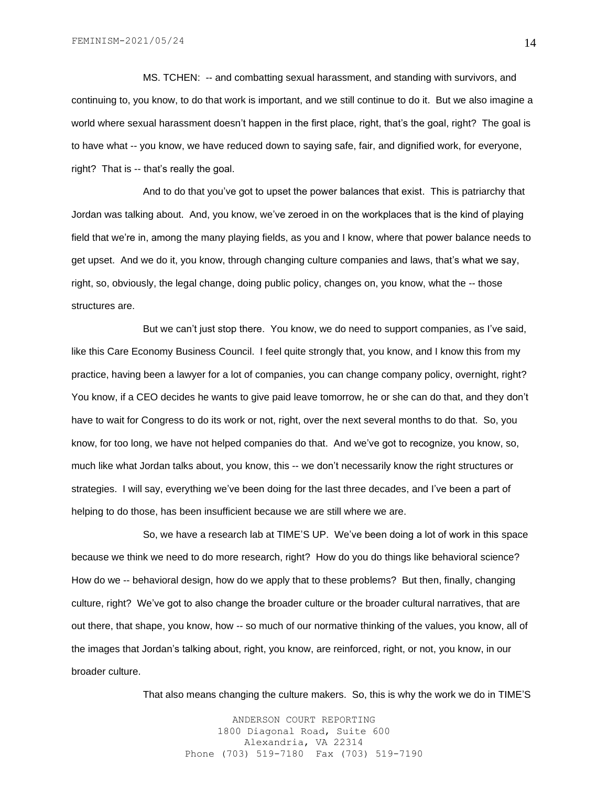MS. TCHEN: -- and combatting sexual harassment, and standing with survivors, and continuing to, you know, to do that work is important, and we still continue to do it. But we also imagine a world where sexual harassment doesn't happen in the first place, right, that's the goal, right? The goal is to have what -- you know, we have reduced down to saying safe, fair, and dignified work, for everyone, right? That is -- that's really the goal.

And to do that you've got to upset the power balances that exist. This is patriarchy that Jordan was talking about. And, you know, we've zeroed in on the workplaces that is the kind of playing field that we're in, among the many playing fields, as you and I know, where that power balance needs to get upset. And we do it, you know, through changing culture companies and laws, that's what we say, right, so, obviously, the legal change, doing public policy, changes on, you know, what the -- those structures are.

But we can't just stop there. You know, we do need to support companies, as I've said, like this Care Economy Business Council. I feel quite strongly that, you know, and I know this from my practice, having been a lawyer for a lot of companies, you can change company policy, overnight, right? You know, if a CEO decides he wants to give paid leave tomorrow, he or she can do that, and they don't have to wait for Congress to do its work or not, right, over the next several months to do that. So, you know, for too long, we have not helped companies do that. And we've got to recognize, you know, so, much like what Jordan talks about, you know, this -- we don't necessarily know the right structures or strategies. I will say, everything we've been doing for the last three decades, and I've been a part of helping to do those, has been insufficient because we are still where we are.

So, we have a research lab at TIME'S UP. We've been doing a lot of work in this space because we think we need to do more research, right? How do you do things like behavioral science? How do we -- behavioral design, how do we apply that to these problems? But then, finally, changing culture, right? We've got to also change the broader culture or the broader cultural narratives, that are out there, that shape, you know, how -- so much of our normative thinking of the values, you know, all of the images that Jordan's talking about, right, you know, are reinforced, right, or not, you know, in our broader culture.

That also means changing the culture makers. So, this is why the work we do in TIME'S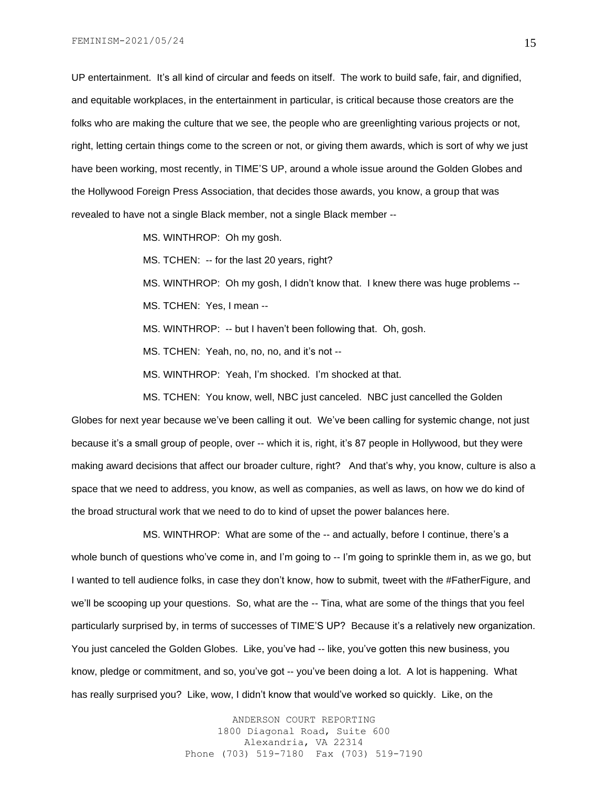UP entertainment. It's all kind of circular and feeds on itself. The work to build safe, fair, and dignified, and equitable workplaces, in the entertainment in particular, is critical because those creators are the folks who are making the culture that we see, the people who are greenlighting various projects or not, right, letting certain things come to the screen or not, or giving them awards, which is sort of why we just have been working, most recently, in TIME'S UP, around a whole issue around the Golden Globes and the Hollywood Foreign Press Association, that decides those awards, you know, a group that was revealed to have not a single Black member, not a single Black member --

MS. WINTHROP: Oh my gosh.

MS. TCHEN: -- for the last 20 years, right?

MS. WINTHROP: Oh my gosh, I didn't know that. I knew there was huge problems -- MS. TCHEN: Yes, I mean --

MS. WINTHROP: -- but I haven't been following that. Oh, gosh.

MS. TCHEN: Yeah, no, no, no, and it's not --

MS. WINTHROP: Yeah, I'm shocked. I'm shocked at that.

MS. TCHEN: You know, well, NBC just canceled. NBC just cancelled the Golden Globes for next year because we've been calling it out. We've been calling for systemic change, not just because it's a small group of people, over -- which it is, right, it's 87 people in Hollywood, but they were making award decisions that affect our broader culture, right? And that's why, you know, culture is also a space that we need to address, you know, as well as companies, as well as laws, on how we do kind of the broad structural work that we need to do to kind of upset the power balances here.

MS. WINTHROP: What are some of the -- and actually, before I continue, there's a whole bunch of questions who've come in, and I'm going to -- I'm going to sprinkle them in, as we go, but I wanted to tell audience folks, in case they don't know, how to submit, tweet with the #FatherFigure, and we'll be scooping up your questions. So, what are the -- Tina, what are some of the things that you feel particularly surprised by, in terms of successes of TIME'S UP? Because it's a relatively new organization. You just canceled the Golden Globes. Like, you've had -- like, you've gotten this new business, you know, pledge or commitment, and so, you've got -- you've been doing a lot. A lot is happening. What has really surprised you? Like, wow, I didn't know that would've worked so quickly. Like, on the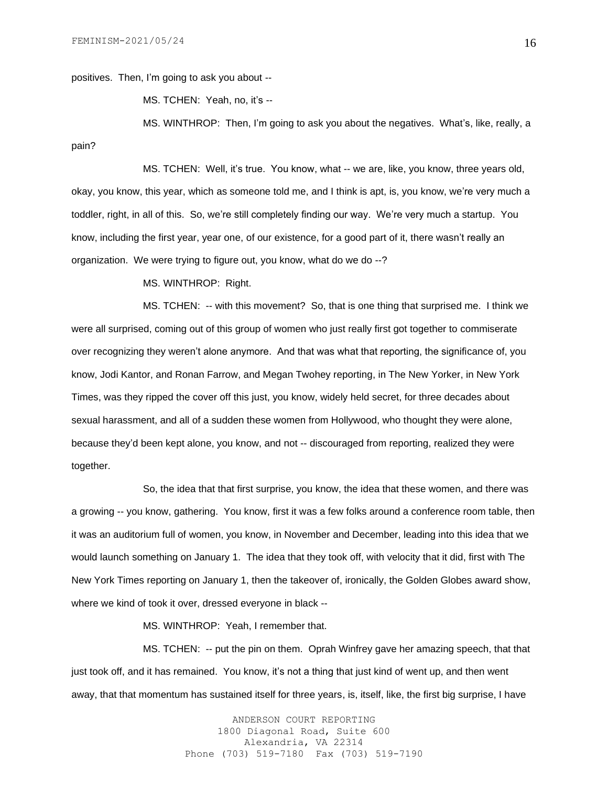positives. Then, I'm going to ask you about --

MS. TCHEN: Yeah, no, it's --

MS. WINTHROP: Then, I'm going to ask you about the negatives. What's, like, really, a pain?

MS. TCHEN: Well, it's true. You know, what -- we are, like, you know, three years old, okay, you know, this year, which as someone told me, and I think is apt, is, you know, we're very much a toddler, right, in all of this. So, we're still completely finding our way. We're very much a startup. You know, including the first year, year one, of our existence, for a good part of it, there wasn't really an organization. We were trying to figure out, you know, what do we do --?

MS. WINTHROP: Right.

MS. TCHEN: -- with this movement? So, that is one thing that surprised me. I think we were all surprised, coming out of this group of women who just really first got together to commiserate over recognizing they weren't alone anymore. And that was what that reporting, the significance of, you know, Jodi Kantor, and Ronan Farrow, and Megan Twohey reporting, in The New Yorker, in New York Times, was they ripped the cover off this just, you know, widely held secret, for three decades about sexual harassment, and all of a sudden these women from Hollywood, who thought they were alone, because they'd been kept alone, you know, and not -- discouraged from reporting, realized they were together.

So, the idea that that first surprise, you know, the idea that these women, and there was a growing -- you know, gathering. You know, first it was a few folks around a conference room table, then it was an auditorium full of women, you know, in November and December, leading into this idea that we would launch something on January 1. The idea that they took off, with velocity that it did, first with The New York Times reporting on January 1, then the takeover of, ironically, the Golden Globes award show, where we kind of took it over, dressed everyone in black --

MS. WINTHROP: Yeah, I remember that.

MS. TCHEN: -- put the pin on them. Oprah Winfrey gave her amazing speech, that that just took off, and it has remained. You know, it's not a thing that just kind of went up, and then went away, that that momentum has sustained itself for three years, is, itself, like, the first big surprise, I have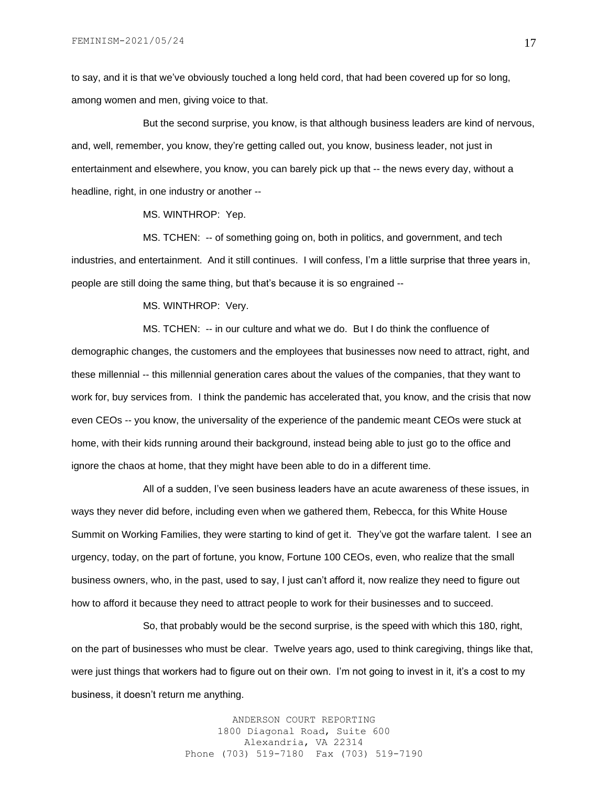to say, and it is that we've obviously touched a long held cord, that had been covered up for so long, among women and men, giving voice to that.

But the second surprise, you know, is that although business leaders are kind of nervous, and, well, remember, you know, they're getting called out, you know, business leader, not just in entertainment and elsewhere, you know, you can barely pick up that -- the news every day, without a headline, right, in one industry or another --

MS. WINTHROP: Yep.

MS. TCHEN: -- of something going on, both in politics, and government, and tech industries, and entertainment. And it still continues. I will confess, I'm a little surprise that three years in, people are still doing the same thing, but that's because it is so engrained --

MS. WINTHROP: Very.

MS. TCHEN: -- in our culture and what we do. But I do think the confluence of demographic changes, the customers and the employees that businesses now need to attract, right, and these millennial -- this millennial generation cares about the values of the companies, that they want to work for, buy services from. I think the pandemic has accelerated that, you know, and the crisis that now even CEOs -- you know, the universality of the experience of the pandemic meant CEOs were stuck at home, with their kids running around their background, instead being able to just go to the office and ignore the chaos at home, that they might have been able to do in a different time.

All of a sudden, I've seen business leaders have an acute awareness of these issues, in ways they never did before, including even when we gathered them, Rebecca, for this White House Summit on Working Families, they were starting to kind of get it. They've got the warfare talent. I see an urgency, today, on the part of fortune, you know, Fortune 100 CEOs, even, who realize that the small business owners, who, in the past, used to say, I just can't afford it, now realize they need to figure out how to afford it because they need to attract people to work for their businesses and to succeed.

So, that probably would be the second surprise, is the speed with which this 180, right, on the part of businesses who must be clear. Twelve years ago, used to think caregiving, things like that, were just things that workers had to figure out on their own. I'm not going to invest in it, it's a cost to my business, it doesn't return me anything.

> ANDERSON COURT REPORTING 1800 Diagonal Road, Suite 600 Alexandria, VA 22314 Phone (703) 519-7180 Fax (703) 519-7190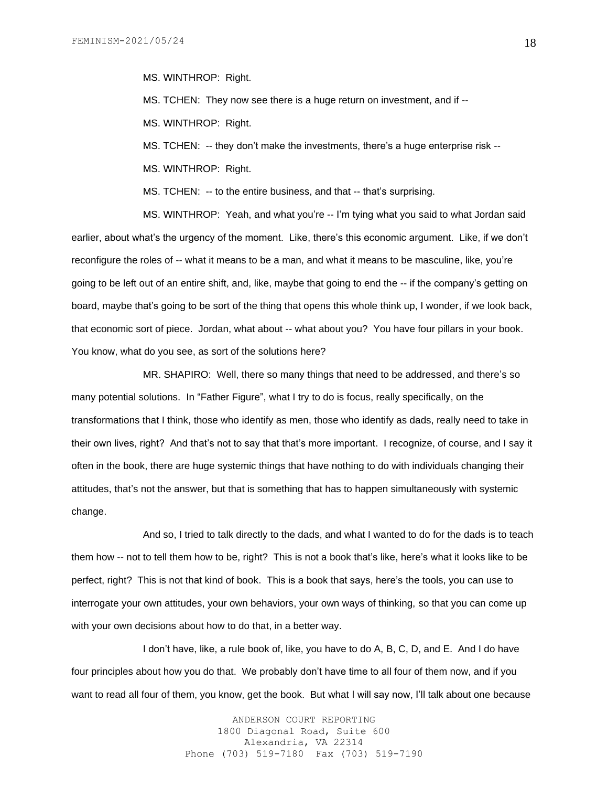MS. WINTHROP: Right.

MS. TCHEN: They now see there is a huge return on investment, and if -- MS. WINTHROP: Right.

MS. TCHEN: -- they don't make the investments, there's a huge enterprise risk --

MS. WINTHROP: Right.

MS. TCHEN: -- to the entire business, and that -- that's surprising.

MS. WINTHROP: Yeah, and what you're -- I'm tying what you said to what Jordan said earlier, about what's the urgency of the moment. Like, there's this economic argument. Like, if we don't reconfigure the roles of -- what it means to be a man, and what it means to be masculine, like, you're going to be left out of an entire shift, and, like, maybe that going to end the -- if the company's getting on board, maybe that's going to be sort of the thing that opens this whole think up, I wonder, if we look back, that economic sort of piece. Jordan, what about -- what about you? You have four pillars in your book. You know, what do you see, as sort of the solutions here?

MR. SHAPIRO: Well, there so many things that need to be addressed, and there's so many potential solutions. In "Father Figure", what I try to do is focus, really specifically, on the transformations that I think, those who identify as men, those who identify as dads, really need to take in their own lives, right? And that's not to say that that's more important. I recognize, of course, and I say it often in the book, there are huge systemic things that have nothing to do with individuals changing their attitudes, that's not the answer, but that is something that has to happen simultaneously with systemic change.

And so, I tried to talk directly to the dads, and what I wanted to do for the dads is to teach them how -- not to tell them how to be, right? This is not a book that's like, here's what it looks like to be perfect, right? This is not that kind of book. This is a book that says, here's the tools, you can use to interrogate your own attitudes, your own behaviors, your own ways of thinking, so that you can come up with your own decisions about how to do that, in a better way.

I don't have, like, a rule book of, like, you have to do A, B, C, D, and E. And I do have four principles about how you do that. We probably don't have time to all four of them now, and if you want to read all four of them, you know, get the book. But what I will say now, I'll talk about one because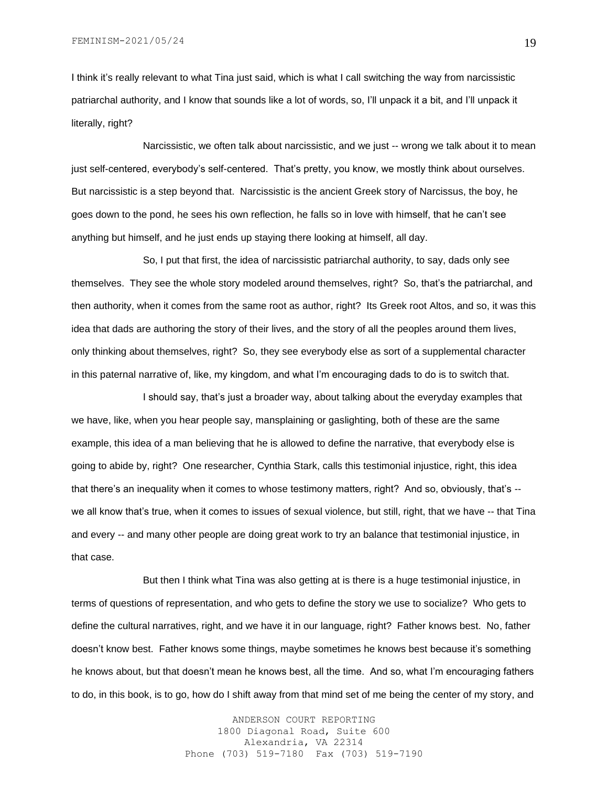I think it's really relevant to what Tina just said, which is what I call switching the way from narcissistic patriarchal authority, and I know that sounds like a lot of words, so, I'll unpack it a bit, and I'll unpack it literally, right?

Narcissistic, we often talk about narcissistic, and we just -- wrong we talk about it to mean just self-centered, everybody's self-centered. That's pretty, you know, we mostly think about ourselves. But narcissistic is a step beyond that. Narcissistic is the ancient Greek story of Narcissus, the boy, he goes down to the pond, he sees his own reflection, he falls so in love with himself, that he can't see anything but himself, and he just ends up staying there looking at himself, all day.

So, I put that first, the idea of narcissistic patriarchal authority, to say, dads only see themselves. They see the whole story modeled around themselves, right? So, that's the patriarchal, and then authority, when it comes from the same root as author, right? Its Greek root Altos, and so, it was this idea that dads are authoring the story of their lives, and the story of all the peoples around them lives, only thinking about themselves, right? So, they see everybody else as sort of a supplemental character in this paternal narrative of, like, my kingdom, and what I'm encouraging dads to do is to switch that.

I should say, that's just a broader way, about talking about the everyday examples that we have, like, when you hear people say, mansplaining or gaslighting, both of these are the same example, this idea of a man believing that he is allowed to define the narrative, that everybody else is going to abide by, right? One researcher, Cynthia Stark, calls this testimonial injustice, right, this idea that there's an inequality when it comes to whose testimony matters, right? And so, obviously, that's - we all know that's true, when it comes to issues of sexual violence, but still, right, that we have -- that Tina and every -- and many other people are doing great work to try an balance that testimonial injustice, in that case.

But then I think what Tina was also getting at is there is a huge testimonial injustice, in terms of questions of representation, and who gets to define the story we use to socialize? Who gets to define the cultural narratives, right, and we have it in our language, right? Father knows best. No, father doesn't know best. Father knows some things, maybe sometimes he knows best because it's something he knows about, but that doesn't mean he knows best, all the time. And so, what I'm encouraging fathers to do, in this book, is to go, how do I shift away from that mind set of me being the center of my story, and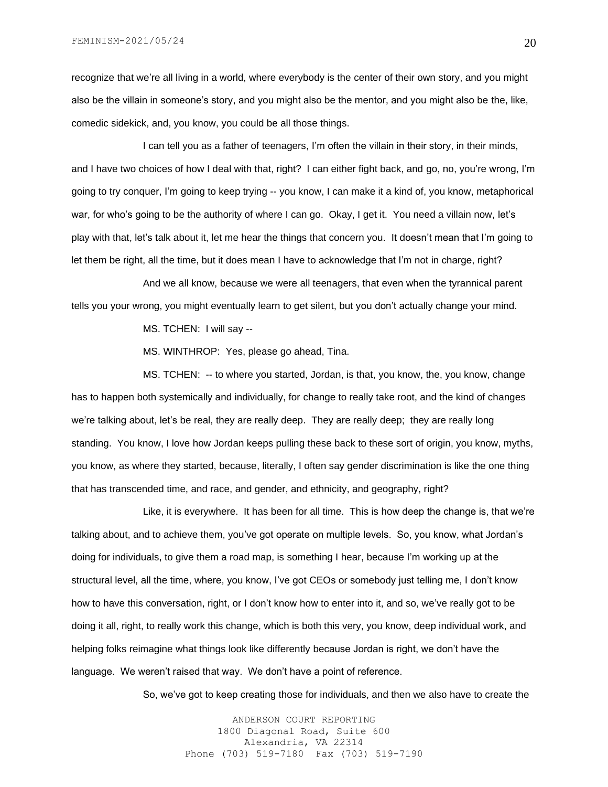recognize that we're all living in a world, where everybody is the center of their own story, and you might also be the villain in someone's story, and you might also be the mentor, and you might also be the, like, comedic sidekick, and, you know, you could be all those things.

I can tell you as a father of teenagers, I'm often the villain in their story, in their minds, and I have two choices of how I deal with that, right? I can either fight back, and go, no, you're wrong, I'm going to try conquer, I'm going to keep trying -- you know, I can make it a kind of, you know, metaphorical war, for who's going to be the authority of where I can go. Okay, I get it. You need a villain now, let's play with that, let's talk about it, let me hear the things that concern you. It doesn't mean that I'm going to let them be right, all the time, but it does mean I have to acknowledge that I'm not in charge, right?

And we all know, because we were all teenagers, that even when the tyrannical parent tells you your wrong, you might eventually learn to get silent, but you don't actually change your mind.

MS. TCHEN: I will say --

MS. WINTHROP: Yes, please go ahead, Tina.

MS. TCHEN: -- to where you started, Jordan, is that, you know, the, you know, change has to happen both systemically and individually, for change to really take root, and the kind of changes we're talking about, let's be real, they are really deep. They are really deep; they are really long standing. You know, I love how Jordan keeps pulling these back to these sort of origin, you know, myths, you know, as where they started, because, literally, I often say gender discrimination is like the one thing that has transcended time, and race, and gender, and ethnicity, and geography, right?

Like, it is everywhere. It has been for all time. This is how deep the change is, that we're talking about, and to achieve them, you've got operate on multiple levels. So, you know, what Jordan's doing for individuals, to give them a road map, is something I hear, because I'm working up at the structural level, all the time, where, you know, I've got CEOs or somebody just telling me, I don't know how to have this conversation, right, or I don't know how to enter into it, and so, we've really got to be doing it all, right, to really work this change, which is both this very, you know, deep individual work, and helping folks reimagine what things look like differently because Jordan is right, we don't have the language. We weren't raised that way. We don't have a point of reference.

So, we've got to keep creating those for individuals, and then we also have to create the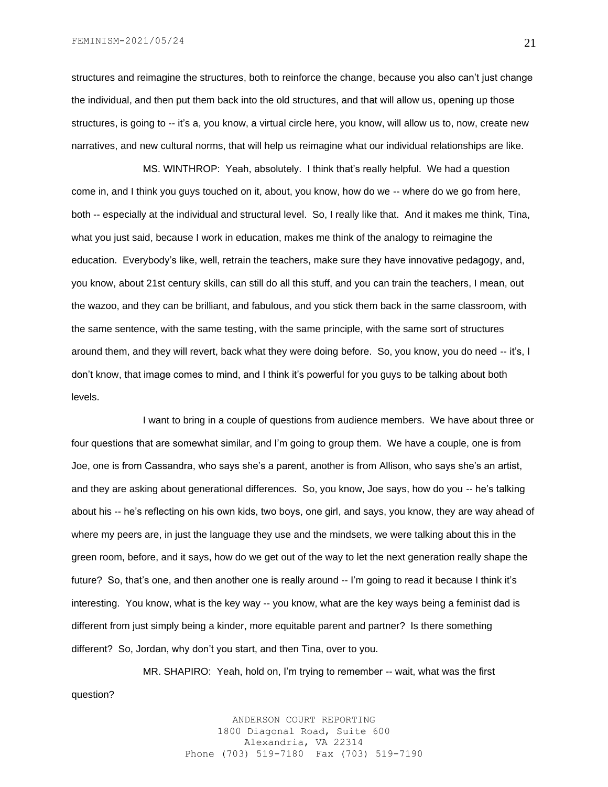FEMINISM-2021/05/24

structures and reimagine the structures, both to reinforce the change, because you also can't just change the individual, and then put them back into the old structures, and that will allow us, opening up those structures, is going to -- it's a, you know, a virtual circle here, you know, will allow us to, now, create new narratives, and new cultural norms, that will help us reimagine what our individual relationships are like.

MS. WINTHROP: Yeah, absolutely. I think that's really helpful. We had a question come in, and I think you guys touched on it, about, you know, how do we -- where do we go from here, both -- especially at the individual and structural level. So, I really like that. And it makes me think, Tina, what you just said, because I work in education, makes me think of the analogy to reimagine the education. Everybody's like, well, retrain the teachers, make sure they have innovative pedagogy, and, you know, about 21st century skills, can still do all this stuff, and you can train the teachers, I mean, out the wazoo, and they can be brilliant, and fabulous, and you stick them back in the same classroom, with the same sentence, with the same testing, with the same principle, with the same sort of structures around them, and they will revert, back what they were doing before. So, you know, you do need -- it's, I don't know, that image comes to mind, and I think it's powerful for you guys to be talking about both levels.

I want to bring in a couple of questions from audience members. We have about three or four questions that are somewhat similar, and I'm going to group them. We have a couple, one is from Joe, one is from Cassandra, who says she's a parent, another is from Allison, who says she's an artist, and they are asking about generational differences. So, you know, Joe says, how do you -- he's talking about his -- he's reflecting on his own kids, two boys, one girl, and says, you know, they are way ahead of where my peers are, in just the language they use and the mindsets, we were talking about this in the green room, before, and it says, how do we get out of the way to let the next generation really shape the future? So, that's one, and then another one is really around -- I'm going to read it because I think it's interesting. You know, what is the key way -- you know, what are the key ways being a feminist dad is different from just simply being a kinder, more equitable parent and partner? Is there something different? So, Jordan, why don't you start, and then Tina, over to you.

MR. SHAPIRO: Yeah, hold on, I'm trying to remember -- wait, what was the first question?

> ANDERSON COURT REPORTING 1800 Diagonal Road, Suite 600 Alexandria, VA 22314 Phone (703) 519-7180 Fax (703) 519-7190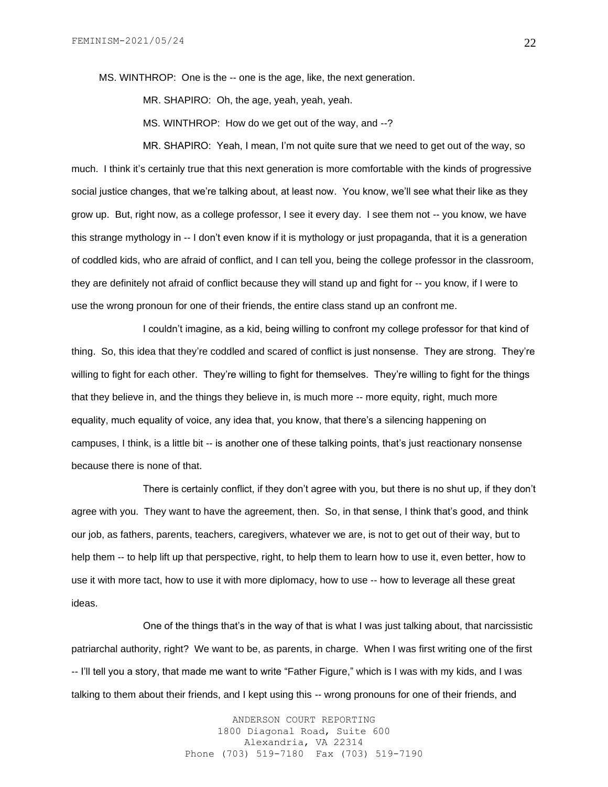MS. WINTHROP: One is the -- one is the age, like, the next generation.

MR. SHAPIRO: Oh, the age, yeah, yeah, yeah.

MS. WINTHROP: How do we get out of the way, and --?

MR. SHAPIRO: Yeah, I mean, I'm not quite sure that we need to get out of the way, so much. I think it's certainly true that this next generation is more comfortable with the kinds of progressive social justice changes, that we're talking about, at least now. You know, we'll see what their like as they grow up. But, right now, as a college professor, I see it every day. I see them not -- you know, we have this strange mythology in -- I don't even know if it is mythology or just propaganda, that it is a generation of coddled kids, who are afraid of conflict, and I can tell you, being the college professor in the classroom, they are definitely not afraid of conflict because they will stand up and fight for -- you know, if I were to use the wrong pronoun for one of their friends, the entire class stand up an confront me.

I couldn't imagine, as a kid, being willing to confront my college professor for that kind of thing. So, this idea that they're coddled and scared of conflict is just nonsense. They are strong. They're willing to fight for each other. They're willing to fight for themselves. They're willing to fight for the things that they believe in, and the things they believe in, is much more -- more equity, right, much more equality, much equality of voice, any idea that, you know, that there's a silencing happening on campuses, I think, is a little bit -- is another one of these talking points, that's just reactionary nonsense because there is none of that.

There is certainly conflict, if they don't agree with you, but there is no shut up, if they don't agree with you. They want to have the agreement, then. So, in that sense, I think that's good, and think our job, as fathers, parents, teachers, caregivers, whatever we are, is not to get out of their way, but to help them -- to help lift up that perspective, right, to help them to learn how to use it, even better, how to use it with more tact, how to use it with more diplomacy, how to use -- how to leverage all these great ideas.

One of the things that's in the way of that is what I was just talking about, that narcissistic patriarchal authority, right? We want to be, as parents, in charge. When I was first writing one of the first -- I'll tell you a story, that made me want to write "Father Figure," which is I was with my kids, and I was talking to them about their friends, and I kept using this -- wrong pronouns for one of their friends, and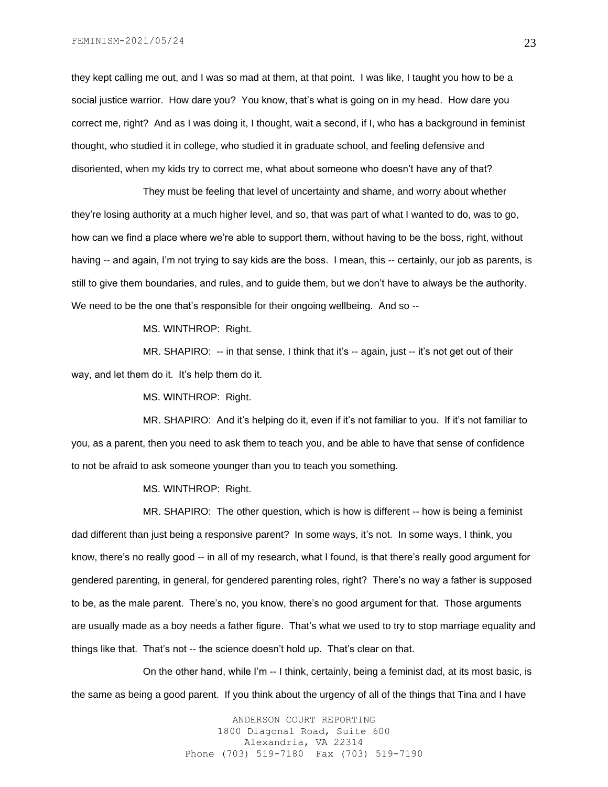they kept calling me out, and I was so mad at them, at that point. I was like, I taught you how to be a social justice warrior. How dare you? You know, that's what is going on in my head. How dare you correct me, right? And as I was doing it, I thought, wait a second, if I, who has a background in feminist thought, who studied it in college, who studied it in graduate school, and feeling defensive and disoriented, when my kids try to correct me, what about someone who doesn't have any of that?

They must be feeling that level of uncertainty and shame, and worry about whether they're losing authority at a much higher level, and so, that was part of what I wanted to do, was to go, how can we find a place where we're able to support them, without having to be the boss, right, without having -- and again, I'm not trying to say kids are the boss. I mean, this -- certainly, our job as parents, is still to give them boundaries, and rules, and to guide them, but we don't have to always be the authority. We need to be the one that's responsible for their ongoing wellbeing. And so --

MS. WINTHROP: Right.

MR. SHAPIRO: -- in that sense, I think that it's -- again, just -- it's not get out of their way, and let them do it. It's help them do it.

MS. WINTHROP: Right.

MR. SHAPIRO: And it's helping do it, even if it's not familiar to you. If it's not familiar to you, as a parent, then you need to ask them to teach you, and be able to have that sense of confidence to not be afraid to ask someone younger than you to teach you something.

MS. WINTHROP: Right.

MR. SHAPIRO: The other question, which is how is different -- how is being a feminist dad different than just being a responsive parent? In some ways, it's not. In some ways, I think, you know, there's no really good -- in all of my research, what I found, is that there's really good argument for gendered parenting, in general, for gendered parenting roles, right? There's no way a father is supposed to be, as the male parent. There's no, you know, there's no good argument for that. Those arguments are usually made as a boy needs a father figure. That's what we used to try to stop marriage equality and things like that. That's not -- the science doesn't hold up. That's clear on that.

On the other hand, while I'm -- I think, certainly, being a feminist dad, at its most basic, is the same as being a good parent. If you think about the urgency of all of the things that Tina and I have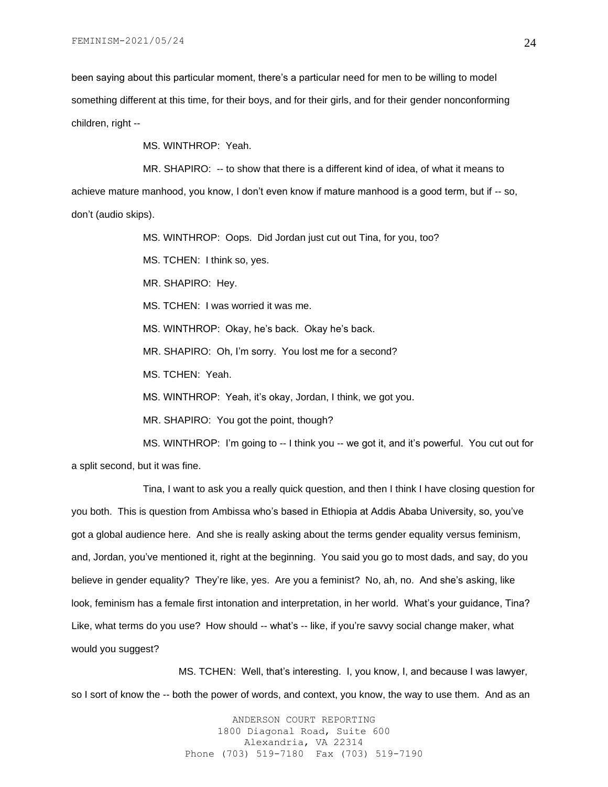been saying about this particular moment, there's a particular need for men to be willing to model something different at this time, for their boys, and for their girls, and for their gender nonconforming children, right --

MS. WINTHROP: Yeah.

MR. SHAPIRO: -- to show that there is a different kind of idea, of what it means to

achieve mature manhood, you know, I don't even know if mature manhood is a good term, but if -- so, don't (audio skips).

MS. WINTHROP: Oops. Did Jordan just cut out Tina, for you, too?

MS. TCHEN: I think so, yes.

MR. SHAPIRO: Hey.

MS. TCHEN: I was worried it was me.

MS. WINTHROP: Okay, he's back. Okay he's back.

MR. SHAPIRO: Oh, I'm sorry. You lost me for a second?

MS. TCHEN: Yeah.

MS. WINTHROP: Yeah, it's okay, Jordan, I think, we got you.

MR. SHAPIRO: You got the point, though?

MS. WINTHROP: I'm going to -- I think you -- we got it, and it's powerful. You cut out for

a split second, but it was fine.

Tina, I want to ask you a really quick question, and then I think I have closing question for you both. This is question from Ambissa who's based in Ethiopia at Addis Ababa University, so, you've got a global audience here. And she is really asking about the terms gender equality versus feminism, and, Jordan, you've mentioned it, right at the beginning. You said you go to most dads, and say, do you believe in gender equality? They're like, yes. Are you a feminist? No, ah, no. And she's asking, like look, feminism has a female first intonation and interpretation, in her world. What's your guidance, Tina? Like, what terms do you use? How should -- what's -- like, if you're savvy social change maker, what would you suggest?

MS. TCHEN: Well, that's interesting. I, you know, I, and because I was lawyer, so I sort of know the -- both the power of words, and context, you know, the way to use them. And as an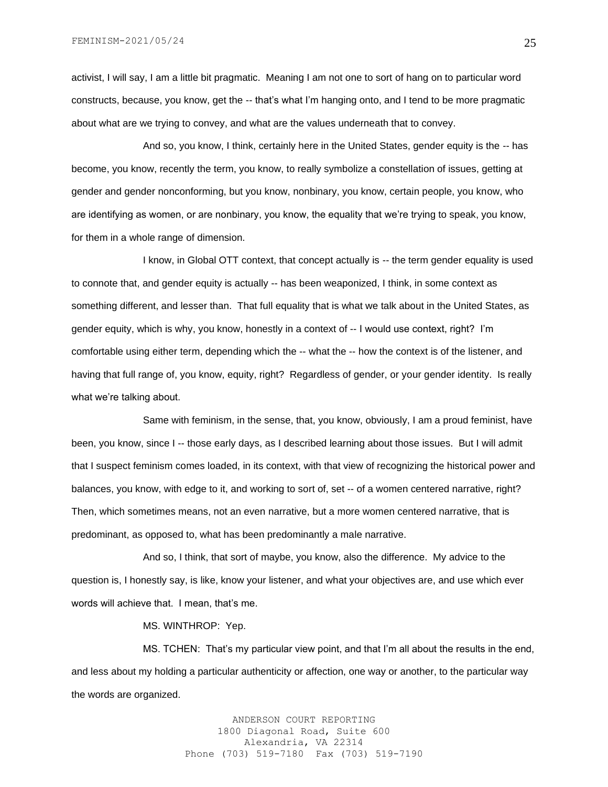activist, I will say, I am a little bit pragmatic. Meaning I am not one to sort of hang on to particular word constructs, because, you know, get the -- that's what I'm hanging onto, and I tend to be more pragmatic about what are we trying to convey, and what are the values underneath that to convey.

And so, you know, I think, certainly here in the United States, gender equity is the -- has become, you know, recently the term, you know, to really symbolize a constellation of issues, getting at gender and gender nonconforming, but you know, nonbinary, you know, certain people, you know, who are identifying as women, or are nonbinary, you know, the equality that we're trying to speak, you know, for them in a whole range of dimension.

I know, in Global OTT context, that concept actually is -- the term gender equality is used to connote that, and gender equity is actually -- has been weaponized, I think, in some context as something different, and lesser than. That full equality that is what we talk about in the United States, as gender equity, which is why, you know, honestly in a context of -- I would use context, right? I'm comfortable using either term, depending which the -- what the -- how the context is of the listener, and having that full range of, you know, equity, right? Regardless of gender, or your gender identity. Is really what we're talking about.

Same with feminism, in the sense, that, you know, obviously, I am a proud feminist, have been, you know, since I -- those early days, as I described learning about those issues. But I will admit that I suspect feminism comes loaded, in its context, with that view of recognizing the historical power and balances, you know, with edge to it, and working to sort of, set -- of a women centered narrative, right? Then, which sometimes means, not an even narrative, but a more women centered narrative, that is predominant, as opposed to, what has been predominantly a male narrative.

And so, I think, that sort of maybe, you know, also the difference. My advice to the question is, I honestly say, is like, know your listener, and what your objectives are, and use which ever words will achieve that. I mean, that's me.

MS. WINTHROP: Yep.

MS. TCHEN: That's my particular view point, and that I'm all about the results in the end, and less about my holding a particular authenticity or affection, one way or another, to the particular way the words are organized.

> ANDERSON COURT REPORTING 1800 Diagonal Road, Suite 600 Alexandria, VA 22314 Phone (703) 519-7180 Fax (703) 519-7190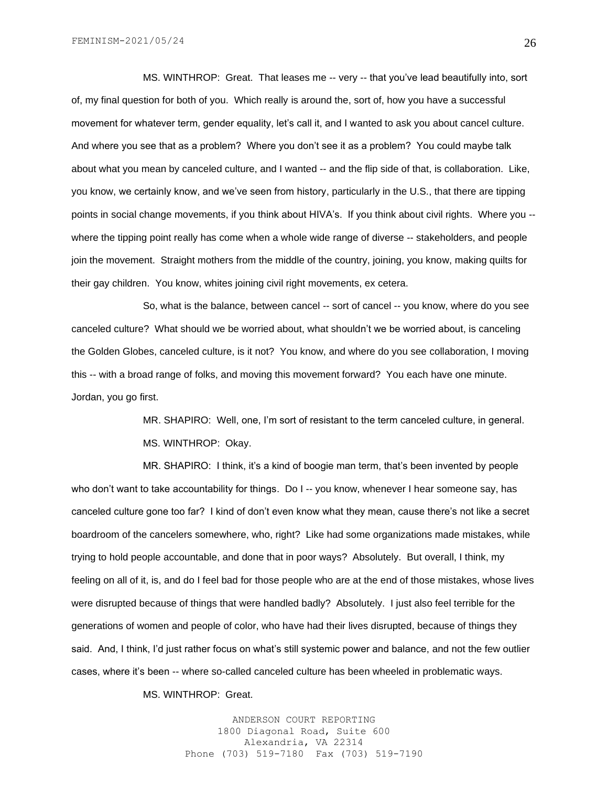MS. WINTHROP: Great. That leases me -- very -- that you've lead beautifully into, sort of, my final question for both of you. Which really is around the, sort of, how you have a successful movement for whatever term, gender equality, let's call it, and I wanted to ask you about cancel culture. And where you see that as a problem? Where you don't see it as a problem? You could maybe talk about what you mean by canceled culture, and I wanted -- and the flip side of that, is collaboration. Like, you know, we certainly know, and we've seen from history, particularly in the U.S., that there are tipping points in social change movements, if you think about HIVA's. If you think about civil rights. Where you - where the tipping point really has come when a whole wide range of diverse -- stakeholders, and people join the movement. Straight mothers from the middle of the country, joining, you know, making quilts for their gay children. You know, whites joining civil right movements, ex cetera.

So, what is the balance, between cancel -- sort of cancel -- you know, where do you see canceled culture? What should we be worried about, what shouldn't we be worried about, is canceling the Golden Globes, canceled culture, is it not? You know, and where do you see collaboration, I moving this -- with a broad range of folks, and moving this movement forward? You each have one minute. Jordan, you go first.

> MR. SHAPIRO: Well, one, I'm sort of resistant to the term canceled culture, in general. MS. WINTHROP: Okay.

MR. SHAPIRO: I think, it's a kind of boogie man term, that's been invented by people who don't want to take accountability for things. Do I -- you know, whenever I hear someone say, has canceled culture gone too far? I kind of don't even know what they mean, cause there's not like a secret boardroom of the cancelers somewhere, who, right? Like had some organizations made mistakes, while trying to hold people accountable, and done that in poor ways? Absolutely. But overall, I think, my feeling on all of it, is, and do I feel bad for those people who are at the end of those mistakes, whose lives were disrupted because of things that were handled badly? Absolutely. I just also feel terrible for the generations of women and people of color, who have had their lives disrupted, because of things they said. And, I think, I'd just rather focus on what's still systemic power and balance, and not the few outlier cases, where it's been -- where so-called canceled culture has been wheeled in problematic ways.

MS. WINTHROP: Great.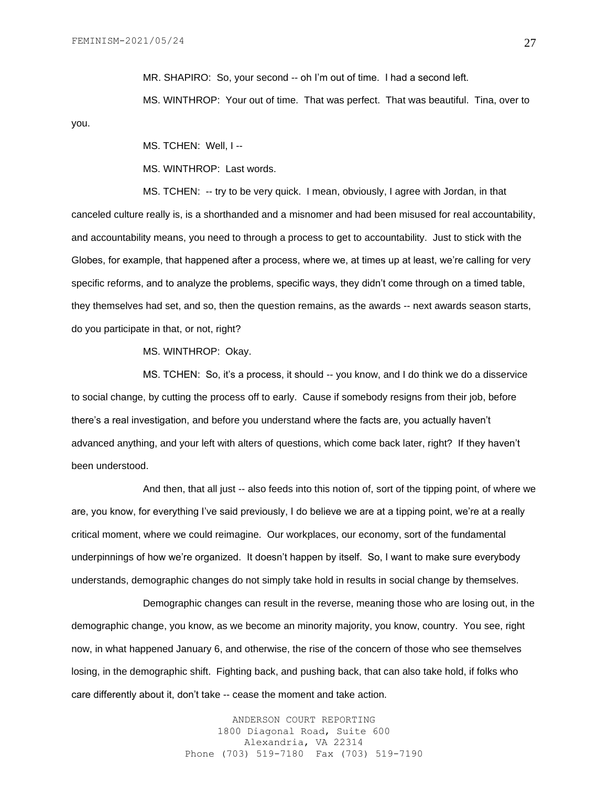you.

MR. SHAPIRO: So, your second -- oh I'm out of time. I had a second left.

MS. WINTHROP: Your out of time. That was perfect. That was beautiful. Tina, over to

MS. TCHEN: Well, I --

MS. WINTHROP: Last words.

MS. TCHEN: -- try to be very quick. I mean, obviously, I agree with Jordan, in that canceled culture really is, is a shorthanded and a misnomer and had been misused for real accountability, and accountability means, you need to through a process to get to accountability. Just to stick with the Globes, for example, that happened after a process, where we, at times up at least, we're calling for very specific reforms, and to analyze the problems, specific ways, they didn't come through on a timed table, they themselves had set, and so, then the question remains, as the awards -- next awards season starts, do you participate in that, or not, right?

MS. WINTHROP: Okay.

MS. TCHEN: So, it's a process, it should -- you know, and I do think we do a disservice to social change, by cutting the process off to early. Cause if somebody resigns from their job, before there's a real investigation, and before you understand where the facts are, you actually haven't advanced anything, and your left with alters of questions, which come back later, right? If they haven't been understood.

And then, that all just -- also feeds into this notion of, sort of the tipping point, of where we are, you know, for everything I've said previously, I do believe we are at a tipping point, we're at a really critical moment, where we could reimagine. Our workplaces, our economy, sort of the fundamental underpinnings of how we're organized. It doesn't happen by itself. So, I want to make sure everybody understands, demographic changes do not simply take hold in results in social change by themselves.

Demographic changes can result in the reverse, meaning those who are losing out, in the demographic change, you know, as we become an minority majority, you know, country. You see, right now, in what happened January 6, and otherwise, the rise of the concern of those who see themselves losing, in the demographic shift. Fighting back, and pushing back, that can also take hold, if folks who care differently about it, don't take -- cease the moment and take action.